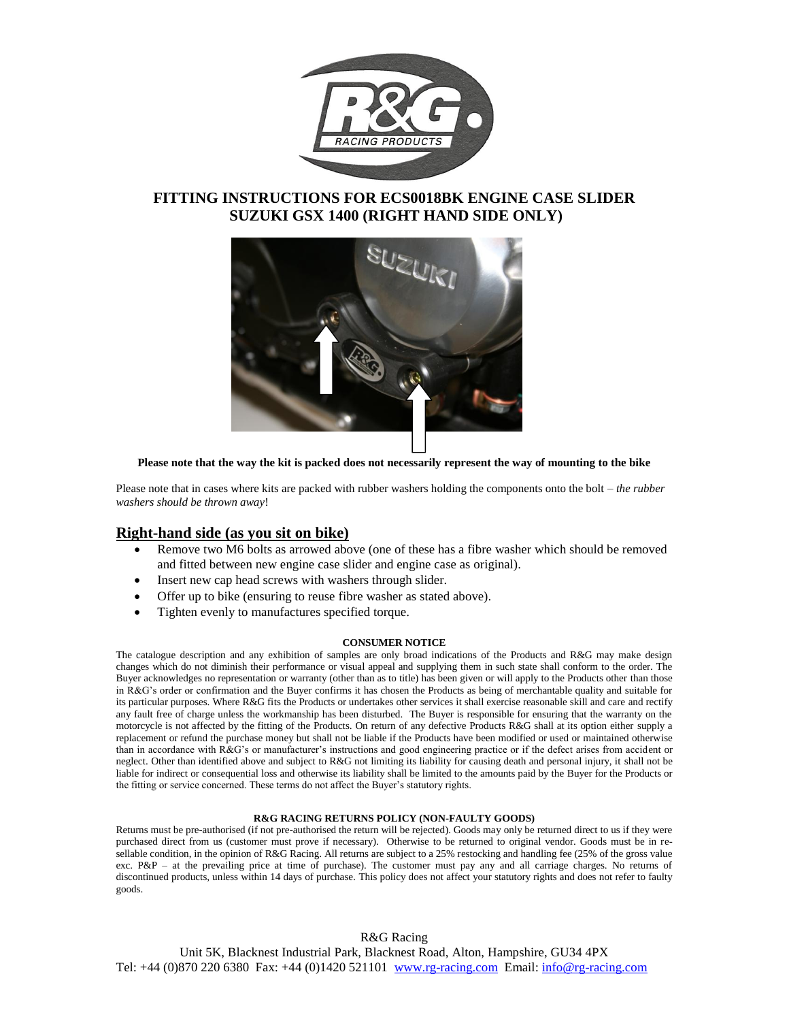

## **FITTING INSTRUCTIONS FOR ECS0018BK ENGINE CASE SLIDER SUZUKI GSX 1400 (RIGHT HAND SIDE ONLY)**



**Please note that the way the kit is packed does not necessarily represent the way of mounting to the bike**

Please note that in cases where kits are packed with rubber washers holding the components onto the bolt – *the rubber washers should be thrown away*!

## **Right-hand side (as you sit on bike)**

- Remove two M6 bolts as arrowed above (one of these has a fibre washer which should be removed and fitted between new engine case slider and engine case as original).
- Insert new cap head screws with washers through slider.
- Offer up to bike (ensuring to reuse fibre washer as stated above).
- Tighten evenly to manufactures specified torque.

#### **CONSUMER NOTICE**

The catalogue description and any exhibition of samples are only broad indications of the Products and R&G may make design changes which do not diminish their performance or visual appeal and supplying them in such state shall conform to the order. The Buyer acknowledges no representation or warranty (other than as to title) has been given or will apply to the Products other than those in R&G's order or confirmation and the Buyer confirms it has chosen the Products as being of merchantable quality and suitable for its particular purposes. Where R&G fits the Products or undertakes other services it shall exercise reasonable skill and care and rectify any fault free of charge unless the workmanship has been disturbed. The Buyer is responsible for ensuring that the warranty on the motorcycle is not affected by the fitting of the Products. On return of any defective Products R&G shall at its option either supply a replacement or refund the purchase money but shall not be liable if the Products have been modified or used or maintained otherwise than in accordance with R&G's or manufacturer's instructions and good engineering practice or if the defect arises from accident or neglect. Other than identified above and subject to R&G not limiting its liability for causing death and personal injury, it shall not be liable for indirect or consequential loss and otherwise its liability shall be limited to the amounts paid by the Buyer for the Products or the fitting or service concerned. These terms do not affect the Buyer's statutory rights.

### **R&G RACING RETURNS POLICY (NON-FAULTY GOODS)**

Returns must be pre-authorised (if not pre-authorised the return will be rejected). Goods may only be returned direct to us if they were purchased direct from us (customer must prove if necessary). Otherwise to be returned to original vendor. Goods must be in resellable condition, in the opinion of R&G Racing. All returns are subject to a 25% restocking and handling fee (25% of the gross value exc. P&P – at the prevailing price at time of purchase). The customer must pay any and all carriage charges. No returns of discontinued products, unless within 14 days of purchase. This policy does not affect your statutory rights and does not refer to faulty goods.

R&G Racing Unit 5K, Blacknest Industrial Park, Blacknest Road, Alton, Hampshire, GU34 4PX Tel: +44 (0)870 220 6380 Fax: +44 (0)1420 521101 www.rg-racing.com Email: info@rg-racing.com